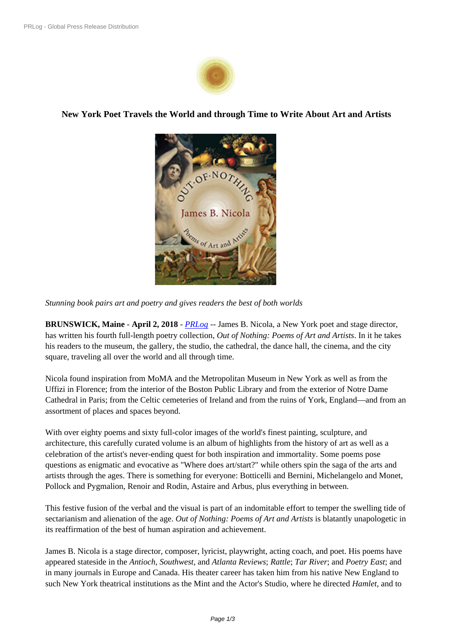

**New York Poet Travels the Worl[d and throug](https://biz.prlog.org/shantiartsllc/)h Time to Write About Art and Artists**



*Stunning book pairs art and poe[try and gives readers the best of both](https://www.prlog.org/12700508-out-of-nothing-james-nicola.jpg) worlds*

**BRUNSWICK, Maine** - **April 2, 2018** - *PRLog* -- James B. Nicola, a New York poet and stage director, has written his fourth full-length poetry collection, *Out of Nothing: Poems of Art and Artists*. In it he takes his readers to the museum, the gallery, the studio, the cathedral, the dance hall, the cinema, and the city square, traveling all over the world and al[l throug](https://www.prlog.org)h time.

Nicola found inspiration from MoMA and the Metropolitan Museum in New York as well as from the Uffizi in Florence; from the interior of the Boston Public Library and from the exterior of Notre Dame Cathedral in Paris; from the Celtic cemeteries of Ireland and from the ruins of York, England—and from an assortment of places and spaces beyond.

With over eighty poems and sixty full-color images of the world's finest painting, sculpture, and architecture, this carefully curated volume is an album of highlights from the history of art as well as a celebration of the artist's never-ending quest for both inspiration and immortality. Some poems pose questions as enigmatic and evocative as "Where does art/start?" while others spin the saga of the arts and artists through the ages. There is something for everyone: Botticelli and Bernini, Michelangelo and Monet, Pollock and Pygmalion, Renoir and Rodin, Astaire and Arbus, plus everything in between.

This festive fusion of the verbal and the visual is part of an indomitable effort to temper the swelling tide of sectarianism and alienation of the age. *Out of Nothing: Poems of Art and Artists* is blatantly unapologetic in its reaffirmation of the best of human aspiration and achievement.

James B. Nicola is a stage director, composer, lyricist, playwright, acting coach, and poet. His poems have appeared stateside in the *Antioch, Southwest,* and *Atlanta Reviews*; *Rattle*; *Tar River*; and *Poetry East*; and in many journals in Europe and Canada. His theater career has taken him from his native New England to such New York theatrical institutions as the Mint and the Actor's Studio, where he directed *Hamlet*, and to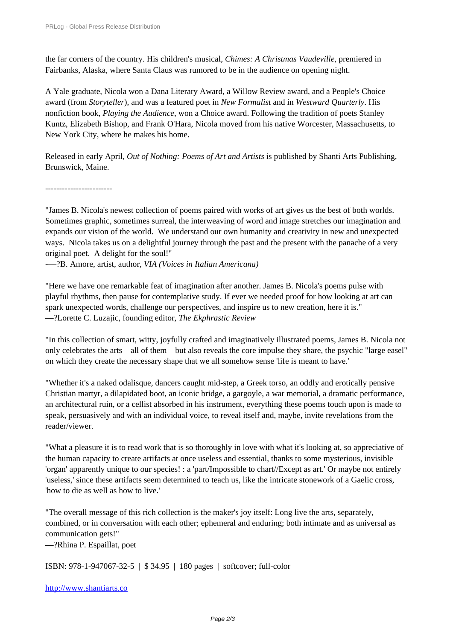the far corners of the country. His children's musical, *Chimes: A Christmas Vaudeville*, premiered in [Fairbanks, Alaska, where Santa Cl](https://www.prlog.org/)aus was rumored to be in the audience on opening night.

A Yale graduate, Nicola won a Dana Literary Award, a Willow Review award, and a People's Choice award (from *Storyteller*), and was a featured poet in *New Formalist* and in *Westward Quarterly*. His nonfiction book, *Playing the Audience*, won a Choice award. Following the tradition of poets Stanley Kuntz, Elizabeth Bishop, and Frank O'Hara, Nicola moved from his native Worcester, Massachusetts, to New York City, where he makes his home.

Released in early April, *Out of Nothing: Poems of Art and Artists* is published by Shanti Arts Publishing, Brunswick, Maine.

------------------------

"James B. Nicola's newest collection of poems paired with works of art gives us the best of both worlds. Sometimes graphic, sometimes surreal, the interweaving of word and image stretches our imagination and expands our vision of the world. We understand our own humanity and creativity in new and unexpected ways. Nicola takes us on a delightful journey through the past and the present with the panache of a very original poet. A delight for the soul!"

—?B. Amore, artist, author, *VIA (Voices in Italian Americana)*

"Here we have one remarkable feat of imagination after another. James B. Nicola's poems pulse with playful rhythms, then pause for contemplative study. If ever we needed proof for how looking at art can spark unexpected words, challenge our perspectives, and inspire us to new creation, here it is." —?Lorette C. Luzajic, founding editor, *The Ekphrastic Review*

"In this collection of smart, witty, joyfully crafted and imaginatively illustrated poems, James B. Nicola not only celebrates the arts—all of them—but also reveals the core impulse they share, the psychic "large easel" on which they create the necessary shape that we all somehow sense 'life is meant to have.'

"Whether it's a naked odalisque, dancers caught mid-step, a Greek torso, an oddly and erotically pensive Christian martyr, a dilapidated boot, an iconic bridge, a gargoyle, a war memorial, a dramatic performance, an architectural ruin, or a cellist absorbed in his instrument, everything these poems touch upon is made to speak, persuasively and with an individual voice, to reveal itself and, maybe, invite revelations from the reader/viewer.

"What a pleasure it is to read work that is so thoroughly in love with what it's looking at, so appreciative of the human capacity to create artifacts at once useless and essential, thanks to some mysterious, invisible 'organ' apparently unique to our species! : a 'part/Impossible to chart//Except as art.' Or maybe not entirely 'useless,' since these artifacts seem determined to teach us, like the intricate stonework of a Gaelic cross, 'how to die as well as how to live.'

"The overall message of this rich collection is the maker's joy itself: Long live the arts, separately, combined, or in conversation with each other; ephemeral and enduring; both intimate and as universal as communication gets!"

—?Rhina P. Espaillat, poet

ISBN: 978-1-947067-32-5 | \$ 34.95 | 180 pages | softcover; full-color

http://www.shantiarts.co